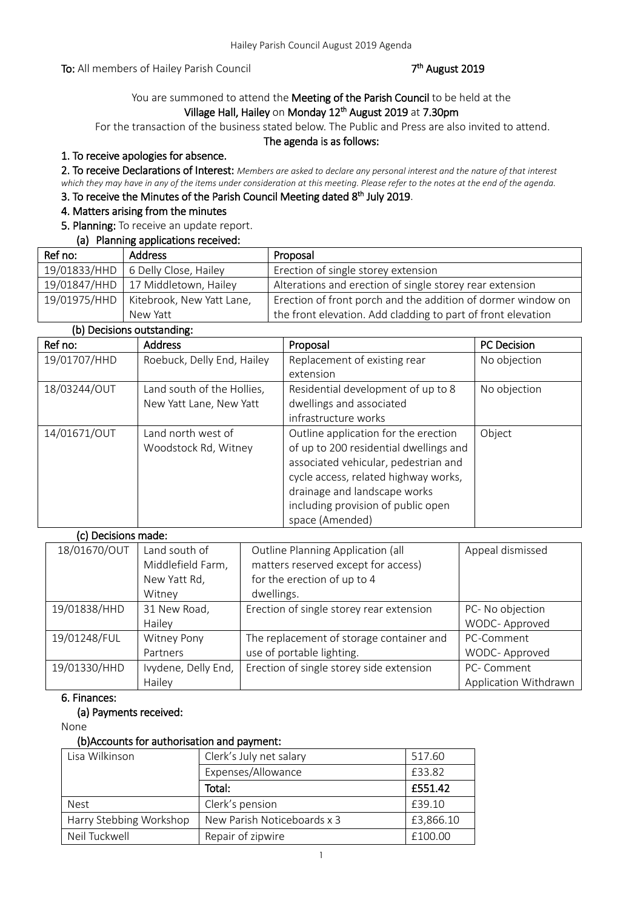To: All members of Hailey Parish Council

# <sup>th</sup> August 2019

# You are summoned to attend the Meeting of the Parish Council to be held at the Village Hall, Hailey on Monday 12<sup>th</sup> August 2019 at 7.30pm

For the transaction of the business stated below. The Public and Press are also invited to attend.

#### The agenda is as follows:

## 1. To receive apologies for absence.

2. To receive Declarations of Interest: *Members are asked to declare any personal interest and the nature of that interest which they may have in any of the items under consideration at this meeting. Please refer to the notes at the end of the agenda.*

# 3. To receive the Minutes of the Parish Council Meeting dated 8<sup>th</sup> July 2019.

## 4. Matters arising from the minutes

# 5. Planning: To receive an update report.

| (a) Planning applications received: |                                          |                                                              |
|-------------------------------------|------------------------------------------|--------------------------------------------------------------|
| Ref no:                             | <b>Address</b>                           | Proposal                                                     |
|                                     | 19/01833/HHD   6 Delly Close, Hailey     | Erection of single storey extension                          |
|                                     | 19/01847/HHD   17 Middletown, Hailey     | Alterations and erection of single storey rear extension     |
|                                     | 19/01975/HHD   Kitebrook, New Yatt Lane, | Erection of front porch and the addition of dormer window on |
|                                     | New Yatt                                 | the front elevation. Add cladding to part of front elevation |

## (b) Decisions outstanding:

| Ref no:      | <b>Address</b>             | Proposal                               | <b>PC Decision</b> |
|--------------|----------------------------|----------------------------------------|--------------------|
| 19/01707/HHD | Roebuck, Delly End, Hailey | Replacement of existing rear           | No objection       |
|              |                            | extension                              |                    |
| 18/03244/OUT | Land south of the Hollies, | Residential development of up to 8     | No objection       |
|              | New Yatt Lane, New Yatt    | dwellings and associated               |                    |
|              |                            | infrastructure works                   |                    |
| 14/01671/OUT | Land north west of         | Outline application for the erection   | Object             |
|              | Woodstock Rd, Witney       | of up to 200 residential dwellings and |                    |
|              |                            | associated vehicular, pedestrian and   |                    |
|              |                            | cycle access, related highway works,   |                    |
|              |                            | drainage and landscape works           |                    |
|              |                            | including provision of public open     |                    |
|              |                            | space (Amended)                        |                    |

| (c) Decisions made: |                     |                                          |                       |
|---------------------|---------------------|------------------------------------------|-----------------------|
| 18/01670/OUT        | Land south of       | Outline Planning Application (all        | Appeal dismissed      |
|                     | Middlefield Farm,   | matters reserved except for access)      |                       |
|                     | New Yatt Rd,        | for the erection of up to 4              |                       |
|                     | Witney              | dwellings.                               |                       |
| 19/01838/HHD        | 31 New Road,        | Erection of single storey rear extension | PC- No objection      |
|                     | Hailey              |                                          | WODC-Approved         |
| 19/01248/FUL        | Witney Pony         | The replacement of storage container and | PC-Comment            |
|                     | Partners            | use of portable lighting.                | WODC- Approved        |
| 19/01330/HHD        | Ivydene, Delly End, | Erection of single storey side extension | PC-Comment            |
|                     | Hailey              |                                          | Application Withdrawn |

## 6. Finances:

## (a) Payments received:

 $\overline{c}$  decisions made in the contract of  $\overline{c}$ 

None

#### (b)Accounts for authorisation and payment:

| Lisa Wilkinson          | Clerk's July net salary     | 517.60    |
|-------------------------|-----------------------------|-----------|
|                         | Expenses/Allowance          | £33.82    |
|                         | Total:                      | £551.42   |
| <b>Nest</b>             | Clerk's pension             | £39.10    |
| Harry Stebbing Workshop | New Parish Noticeboards x 3 | £3,866.10 |
| Neil Tuckwell           | Repair of zipwire           | £100.00   |